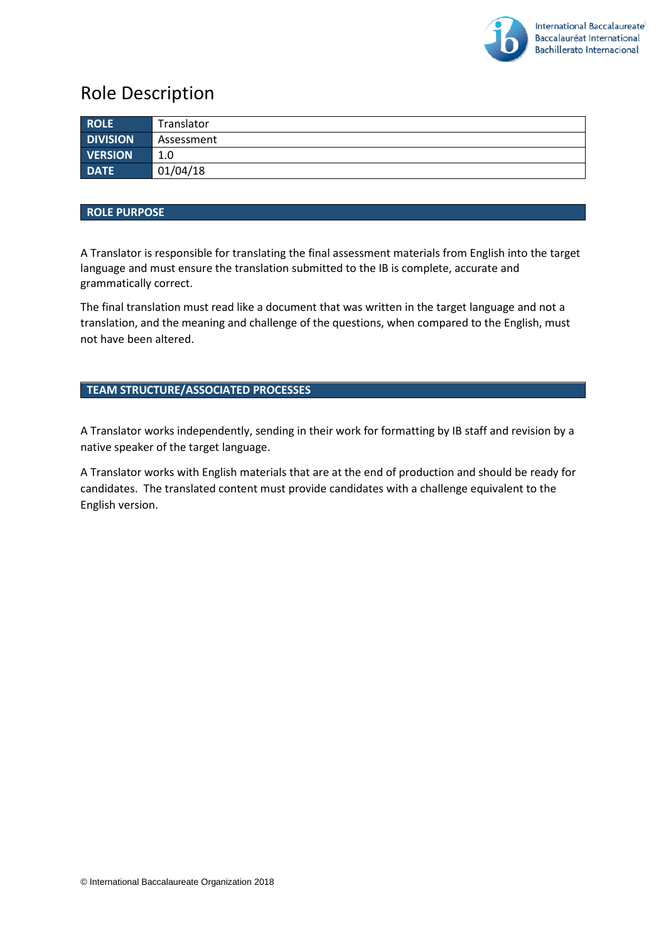

# Role Description

| <b>ROLE</b>     | Translator |
|-----------------|------------|
| <b>DIVISION</b> | Assessment |
| <b>VERSION</b>  | 1.0        |
| <b>DATE</b>     | 01/04/18   |

#### **ROLE PURPOSE**

A Translator is responsible for translating the final assessment materials from English into the target language and must ensure the translation submitted to the IB is complete, accurate and grammatically correct.

The final translation must read like a document that was written in the target language and not a translation, and the meaning and challenge of the questions, when compared to the English, must not have been altered.

#### **TEAM STRUCTURE/ASSOCIATED PROCESSES**

A Translator works independently, sending in their work for formatting by IB staff and revision by a native speaker of the target language.

A Translator works with English materials that are at the end of production and should be ready for candidates. The translated content must provide candidates with a challenge equivalent to the English version.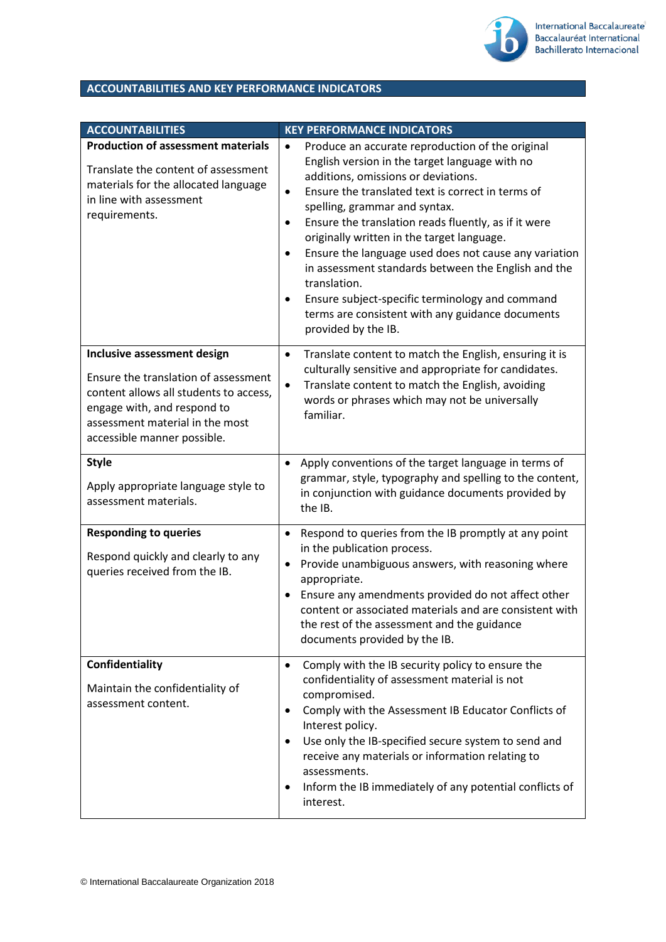

## **ACCOUNTABILITIES AND KEY PERFORMANCE INDICATORS**

| <b>ACCOUNTABILITIES</b>                                                                                                                                                                                        | <b>KEY PERFORMANCE INDICATORS</b>                                                                                                                                                                                                                                                                                                                                                                                                                                                                                                                                                                                                                            |
|----------------------------------------------------------------------------------------------------------------------------------------------------------------------------------------------------------------|--------------------------------------------------------------------------------------------------------------------------------------------------------------------------------------------------------------------------------------------------------------------------------------------------------------------------------------------------------------------------------------------------------------------------------------------------------------------------------------------------------------------------------------------------------------------------------------------------------------------------------------------------------------|
| <b>Production of assessment materials</b><br>Translate the content of assessment<br>materials for the allocated language<br>in line with assessment<br>requirements.                                           | Produce an accurate reproduction of the original<br>$\bullet$<br>English version in the target language with no<br>additions, omissions or deviations.<br>Ensure the translated text is correct in terms of<br>$\bullet$<br>spelling, grammar and syntax.<br>Ensure the translation reads fluently, as if it were<br>$\bullet$<br>originally written in the target language.<br>Ensure the language used does not cause any variation<br>$\bullet$<br>in assessment standards between the English and the<br>translation.<br>Ensure subject-specific terminology and command<br>٠<br>terms are consistent with any guidance documents<br>provided by the IB. |
| Inclusive assessment design<br>Ensure the translation of assessment<br>content allows all students to access,<br>engage with, and respond to<br>assessment material in the most<br>accessible manner possible. | Translate content to match the English, ensuring it is<br>$\bullet$<br>culturally sensitive and appropriate for candidates.<br>Translate content to match the English, avoiding<br>$\bullet$<br>words or phrases which may not be universally<br>familiar.                                                                                                                                                                                                                                                                                                                                                                                                   |
| <b>Style</b><br>Apply appropriate language style to<br>assessment materials.                                                                                                                                   | Apply conventions of the target language in terms of<br>$\bullet$<br>grammar, style, typography and spelling to the content,<br>in conjunction with guidance documents provided by<br>the IB.                                                                                                                                                                                                                                                                                                                                                                                                                                                                |
| <b>Responding to queries</b><br>Respond quickly and clearly to any<br>queries received from the IB.                                                                                                            | Respond to queries from the IB promptly at any point<br>$\bullet$<br>in the publication process.<br>Provide unambiguous answers, with reasoning where<br>٠<br>appropriate.<br>Ensure any amendments provided do not affect other<br>٠<br>content or associated materials and are consistent with<br>the rest of the assessment and the guidance<br>documents provided by the IB.                                                                                                                                                                                                                                                                             |
| Confidentiality<br>Maintain the confidentiality of<br>assessment content.                                                                                                                                      | Comply with the IB security policy to ensure the<br>$\bullet$<br>confidentiality of assessment material is not<br>compromised.<br>Comply with the Assessment IB Educator Conflicts of<br>$\bullet$<br>Interest policy.<br>Use only the IB-specified secure system to send and<br>$\bullet$<br>receive any materials or information relating to<br>assessments.<br>Inform the IB immediately of any potential conflicts of<br>$\bullet$<br>interest.                                                                                                                                                                                                          |